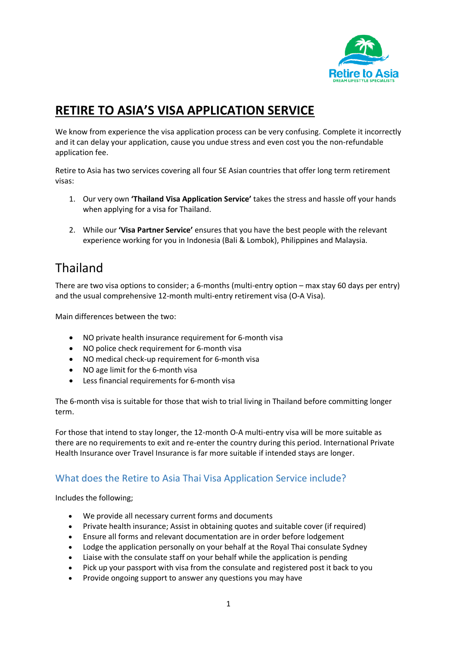

## **RETIRE TO ASIA'S VISA APPLICATION SERVICE**

We know from experience the visa application process can be very confusing. Complete it incorrectly and it can delay your application, cause you undue stress and even cost you the non-refundable application fee.

Retire to Asia has two services covering all four SE Asian countries that offer long term retirement visas:

- 1. Our very own **'Thailand Visa Application Service'** takes the stress and hassle off your hands when applying for a visa for Thailand.
- 2. While our **'Visa Partner Service'** ensures that you have the best people with the relevant experience working for you in Indonesia (Bali & Lombok), Philippines and Malaysia.

### Thailand

There are two visa options to consider; a 6-months (multi-entry option – max stay 60 days per entry) and the usual comprehensive 12-month multi-entry retirement visa (O-A Visa).

Main differences between the two:

- NO private health insurance requirement for 6-month visa
- NO police check requirement for 6-month visa
- NO medical check-up requirement for 6-month visa
- NO age limit for the 6-month visa
- Less financial requirements for 6-month visa

The 6-month visa is suitable for those that wish to trial living in Thailand before committing longer term.

For those that intend to stay longer, the 12-month O-A multi-entry visa will be more suitable as there are no requirements to exit and re-enter the country during this period. International Private Health Insurance over Travel Insurance is far more suitable if intended stays are longer.

#### What does the Retire to Asia Thai Visa Application Service include?

Includes the following;

- We provide all necessary current forms and documents
- Private health insurance; Assist in obtaining quotes and suitable cover (if required)
- Ensure all forms and relevant documentation are in order before lodgement
- Lodge the application personally on your behalf at the Royal Thai consulate Sydney
- Liaise with the consulate staff on your behalf while the application is pending
- Pick up your passport with visa from the consulate and registered post it back to you
- Provide ongoing support to answer any questions you may have